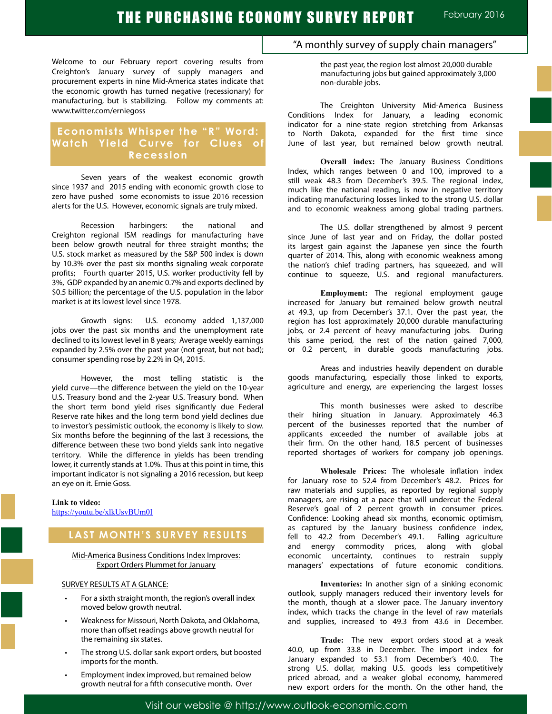Welcome to our February report covering results from Creighton's January survey of supply managers and procurement experts in nine Mid-America states indicate that the economic growth has turned negative (recessionary) for manufacturing, but is stabilizing. Follow my comments at: www.twitter.com/erniegoss

## **Economists Whisper the "R" Word: Watch Yield Curve for Clues of Recession**

Seven years of the weakest economic growth since 1937 and 2015 ending with economic growth close to zero have pushed some economists to issue 2016 recession alerts for the U.S. However, economic signals are truly mixed.

Recession harbingers: the national and Creighton regional ISM readings for manufacturing have been below growth neutral for three straight months; the U.S. stock market as measured by the S&P 500 index is down by 10.3% over the past six months signaling weak corporate profits; Fourth quarter 2015, U.S. worker productivity fell by 3%, GDP expanded by an anemic 0.7% and exports declined by \$0.5 billion; the percentage of the U.S. population in the labor market is at its lowest level since 1978.

Growth signs: U.S. economy added 1,137,000 jobs over the past six months and the unemployment rate declined to its lowest level in 8 years; Average weekly earnings expanded by 2.5% over the past year (not great, but not bad); consumer spending rose by 2.2% in Q4, 2015.

However, the most telling statistic is the yield curve—the difference between the yield on the 10-year U.S. Treasury bond and the 2-year U.S. Treasury bond. When the short term bond yield rises significantly due Federal Reserve rate hikes and the long term bond yield declines due to investor's pessimistic outlook, the economy is likely to slow. Six months before the beginning of the last 3 recessions, the difference between these two bond yields sank into negative territory. While the difference in yields has been trending lower, it currently stands at 1.0%. Thus at this point in time, this important indicator is not signaling a 2016 recession, but keep an eye on it. Ernie Goss.

#### **Link to video:** https://youtu.be/xlkUsvBUm0I

## **LAST MONTH'S SURVEY RESULTS**

Mid-America Business Conditions Index Improves: Export Orders Plummet for January

### SURVEY RESULTS AT A GLANCE:

- For a sixth straight month, the region's overall index moved below growth neutral.
- Weakness for Missouri, North Dakota, and Oklahoma, more than offset readings above growth neutral for the remaining six states.
- The strong U.S. dollar sank export orders, but boosted imports for the month.
- Employment index improved, but remained below growth neutral for a fifth consecutive month. Over

## "A monthly survey of supply chain managers"

the past year, the region lost almost 20,000 durable manufacturing jobs but gained approximately 3,000 non-durable jobs.

The Creighton University Mid-America Business Conditions Index for January, a leading economic indicator for a nine-state region stretching from Arkansas to North Dakota, expanded for the first time since June of last year, but remained below growth neutral.

**Overall index:** The January Business Conditions Index, which ranges between 0 and 100, improved to a still weak 48.3 from December's 39.5. The regional index, much like the national reading, is now in negative territory indicating manufacturing losses linked to the strong U.S. dollar and to economic weakness among global trading partners.

The U.S. dollar strengthened by almost 9 percent since June of last year and on Friday, the dollar posted its largest gain against the Japanese yen since the fourth quarter of 2014. This, along with economic weakness among the nation's chief trading partners, has squeezed, and will continue to squeeze, U.S. and regional manufacturers.

**Employment:** The regional employment gauge increased for January but remained below growth neutral at 49.3, up from December's 37.1. Over the past year, the region has lost approximately 20,000 durable manufacturing jobs, or 2.4 percent of heavy manufacturing jobs. During this same period, the rest of the nation gained 7,000, or 0.2 percent, in durable goods manufacturing jobs.

Areas and industries heavily dependent on durable goods manufacturing, especially those linked to exports, agriculture and energy, are experiencing the largest losses

This month businesses were asked to describe their hiring situation in January. Approximately 46.3 percent of the businesses reported that the number of applicants exceeded the number of available jobs at their firm. On the other hand, 18.5 percent of businesses reported shortages of workers for company job openings.

**Wholesale Prices:** The wholesale inflation index for January rose to 52.4 from December's 48.2. Prices for raw materials and supplies, as reported by regional supply managers, are rising at a pace that will undercut the Federal Reserve's goal of 2 percent growth in consumer prices. Confidence: Looking ahead six months, economic optimism, as captured by the January business confidence index, fell to 42.2 from December's 49.1. Falling agriculture and energy commodity prices, along with global economic uncertainty, continues to restrain supply managers' expectations of future economic conditions.

**Inventories:** In another sign of a sinking economic outlook, supply managers reduced their inventory levels for the month, though at a slower pace. The January inventory index, which tracks the change in the level of raw materials and supplies, increased to 49.3 from 43.6 in December.

**Trade:** The new export orders stood at a weak 40.0, up from 33.8 in December. The import index for January expanded to 53.1 from December's 40.0. The strong U.S. dollar, making U.S. goods less competitively priced abroad, and a weaker global economy, hammered new export orders for the month. On the other hand, the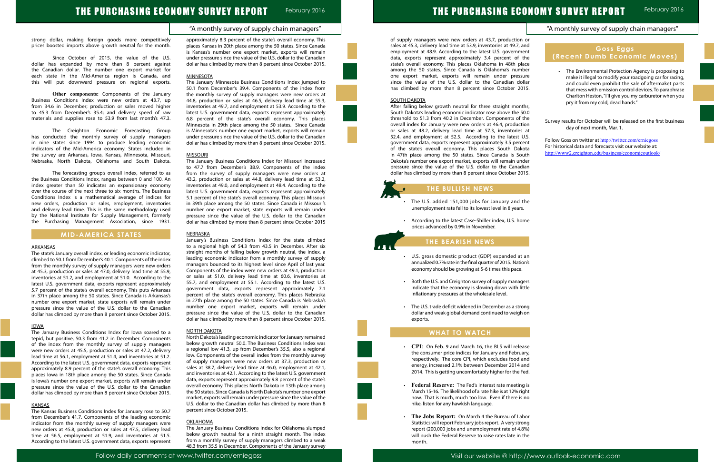"A monthly survey of supply chain managers"

Follow daily comments at www.twitter.com/erniegoss Visit our website @ http://www.outlook-economic.com

of supply managers were new orders at 43.7, production sales at 45.3, delivery lead time at 53.9, inventories at 49.7, and employment at 48.9. According to the latest U.S. governmer data, exports represent approximately 3.4 percent of th state's overall economy. This places Oklahoma in 48th plac among the 50 states. Since Canada is Oklahoma's numbe one export market, exports will remain under pressur since the value of the U.S. dollar to the Canadian dolla has climbed by more than 8 percent since October 201

# THE PURCHASING ECONOMY SURVEY REPORT February 2016

strong dollar, making foreign goods more competitively prices boosted imports above growth neutral for the month.

Since October of 2015, the value of the U.S. dollar has expanded by more than 8 percent against the Canadian dollar. The number one export market for each state in the Mid-America region is Canada, and this will put downward pressure on regional exports.

**Other components:** Components of the January Business Conditions Index were new orders at 43.7, up from 34.6 in December; production or sales moved higher to 45.3 from December's 35.4; and delivery speed of raw materials and supplies rose to 53.9 from last month's 47.3.

The Creighton Economic Forecasting Group has conducted the monthly survey of supply managers in nine states since 1994 to produce leading economic indicators of the Mid-America economy. States included in the survey are Arkansas, Iowa, Kansas, Minnesota, Missouri, Nebraska, North Dakota, Oklahoma and South Dakota.

The forecasting group's overall index, referred to as the Business Conditions Index, ranges between 0 and 100. An index greater than 50 indicates an expansionary economy over the course of the next three to six months. The Business Conditions Index is a mathematical average of indices for new orders, production or sales, employment, inventories and delivery lead time. This is the same methodology used by the National Institute for Supply Management, formerly the Purchasing Management Association, since 1931.

## **MID-AMERICA STATES**

#### **ARKANSAS**

The state's January overall index, or leading economic indicator, climbed to 50.1 from December's 40.1. Components of the index from the monthly survey of supply managers were new orders at 45.3, production or sales at 47.0, delivery lead time at 55.9, inventories at 51.2, and employment at 51.0. According to the latest U.S. government data, exports represent approximately 5.7 percent of the state's overall economy. This puts Arkansas in 37th place among the 50 states. Since Canada is Arkansas's number one export market, state exports will remain under pressure since the value of the U.S. dollar to the Canadian dollar has climbed by more than 8 percent since October 2015.

#### IOWA

The January Business Conditions Index for Iowa soared to a tepid, but positive, 50.3 from 41.2 in December. Components of the index from the monthly survey of supply managers were new orders at 45.5, production or sales at 47.2, delivery lead time at 56.1, employment at 51.4, and inventories at 51.2. According to the latest U.S. government data, exports represent approximately 8.9 percent of the state's overall economy. This places Iowa in 18th place among the 50 states. Since Canada is Iowa's number one export market, exports will remain under pressure since the value of the U.S. dollar to the Canadian dollar has climbed by more than 8 percent since October 2015.

#### KANSAS

The Kansas Business Conditions Index for January rose to 50.7 from December's 41.7. Components of the leading economic indicator from the monthly survey of supply managers were new orders at 45.8, production or sales at 47.5, delivery lead time at 56.5, employment at 51.9, and inventories at 51.5. According to the latest U.S. government data, exports represent approximately 8.3 percent of the state's overall economy. This places Kansas in 20th place among the 50 states. Since Canada is Kansas's number one export market, exports will remain under pressure since the value of the U.S. dollar to the Canadian dollar has climbed by more than 8 percent since October 2015.

#### **MINNESOTA**

The January Minnesota Business Conditions Index jumped to 50.1 from December's 39.4. Components of the index from the monthly survey of supply managers were new orders at 44.8, production or sales at 46.5, delivery lead time at 55.3, inventories at 49.7, and employment at 53.9. According to the latest U.S. government data, exports represent approximately 6.8 percent of the state's overall economy. This places Minnesota in 29th place among the 50 states. Since Canada is Minnesota's number one export market, exports will remain under pressure since the value of the U.S. dollar to the Canadian dollar has climbed by more than 8 percent since October 2015.

- The U.S. added 151,000 jobs for January and th unemployment rate fell to its lowest level in 8 years.
- • According to the latest Case-Shiller index, U.S. home prices advanced by 0.9% in November.

- U.S. gross domestic product (GDP) expanded at a annualized 0.7% rate in the final quarter of 2015. Natior economy should be growing at 5-6 times this pace.
- Both the U.S. and Creighton survey of supply manage indicate that the economy is slowing down with litt inflationary pressures at the wholesale level.
- The U.S. trade deficit widened in December as a stron dollar and weak global demand continued to weigh on exports.

#### MISSOURI

The January Business Conditions Index for Missouri increased to 47.7 from December's 38.9. Components of the index from the survey of supply managers were new orders at 43.2, production or sales at 44.8, delivery lead time at 53.2, inventories at 49.0, and employment at 48.4. According to the latest U.S. government data, exports represent approximately 5.1 percent of the state's overall economy. This places Missouri in 39th place among the 50 states. Since Canada is Missouri's number one export market, state exports will remain under pressure since the value of the U.S. dollar to the Canadian dollar has climbed by more than 8 percent since October 2015

- CPI: On Feb. 9 and March 16, the BLS will releas the consumer price indices for January and Februar respectively. The core CPI, which excludes food an energy, increased 2.1% between December 2014 an 2014. This is getting uncomfortably higher for the Fee
- **Federal Reserve:** The Fed's interest rate meeting March 15-16. The likelihood of a rate hike is at 12% right now. That is much, much too low. Even if there is now. hike, listen for any hawkish language.
- The Jobs Report: On March 4 the Bureau of Labor Statistics will report February jobs report. A very strong report (200,000 jobs and unemployment rate of 4.8%) will push the Federal Reserve to raise rates late in the month.

#### NEBRASKA

|   | "A monthly survey of supply chain managers"                                                                                                                              |                                   |                  |                                                                                                                                                                                                                                                                                             |  |
|---|--------------------------------------------------------------------------------------------------------------------------------------------------------------------------|-----------------------------------|------------------|---------------------------------------------------------------------------------------------------------------------------------------------------------------------------------------------------------------------------------------------------------------------------------------------|--|
|   |                                                                                                                                                                          |                                   |                  |                                                                                                                                                                                                                                                                                             |  |
|   | (Recent Dumb Economic Moves)                                                                                                                                             |                                   | <b>Goss Eggs</b> |                                                                                                                                                                                                                                                                                             |  |
| ۰ |                                                                                                                                                                          | pry it from my cold, dead hands." |                  | The Environmental Protection Agency is proposing to<br>make it illegal to modify your roadgoing car for racing,<br>and could even prohibit the sale of aftermaket parts<br>that mess with emission control devices. To paraphrase<br>Charlton Heston, "I'll give you my carburetor when you |  |
|   | Survey results for October will be released on the first business                                                                                                        | day of next month, Mar. 1.        |                  |                                                                                                                                                                                                                                                                                             |  |
|   | Follow Goss on twitter at http://twitter.com/erniegoss<br>For historical data and forecasts visit our website at:<br>http://www2.creighton.edu/business/economicoutlook/ |                                   |                  |                                                                                                                                                                                                                                                                                             |  |
|   |                                                                                                                                                                          |                                   |                  |                                                                                                                                                                                                                                                                                             |  |
|   |                                                                                                                                                                          |                                   |                  |                                                                                                                                                                                                                                                                                             |  |
|   |                                                                                                                                                                          |                                   |                  |                                                                                                                                                                                                                                                                                             |  |
|   |                                                                                                                                                                          |                                   |                  |                                                                                                                                                                                                                                                                                             |  |
|   |                                                                                                                                                                          |                                   |                  |                                                                                                                                                                                                                                                                                             |  |
|   |                                                                                                                                                                          |                                   |                  |                                                                                                                                                                                                                                                                                             |  |
|   |                                                                                                                                                                          |                                   |                  |                                                                                                                                                                                                                                                                                             |  |
|   |                                                                                                                                                                          |                                   |                  |                                                                                                                                                                                                                                                                                             |  |
|   |                                                                                                                                                                          |                                   |                  |                                                                                                                                                                                                                                                                                             |  |
|   |                                                                                                                                                                          |                                   |                  |                                                                                                                                                                                                                                                                                             |  |
|   |                                                                                                                                                                          |                                   |                  |                                                                                                                                                                                                                                                                                             |  |
|   |                                                                                                                                                                          |                                   |                  |                                                                                                                                                                                                                                                                                             |  |
|   |                                                                                                                                                                          |                                   |                  |                                                                                                                                                                                                                                                                                             |  |
|   |                                                                                                                                                                          |                                   |                  |                                                                                                                                                                                                                                                                                             |  |

January's Business Conditions Index for the state climbed to a regional high of 54.3 from 43.5 in December. After six straight months of falling below growth neutral, the index, a leading economic indicator from a monthly survey of supply managers bounced to its highest level since April of last year. Components of the index were new orders at 49.1, production or sales at 51.0, delivery lead time at 60.6, inventories at 55.7, and employment at 55.1. According to the latest U.S. government data, exports represent approximately 7.1 percent of the state's overall economy. This places Nebraska in 27th place among the 50 states. Since Canada is Nebraska's number one export market, exports will remain under pressure since the value of the U.S. dollar to the Canadian dollar has climbed by more than 8 percent since October 2015.

#### NORTH DAKOTA

North Dakota's leading economic indicator for January remained below growth neutral 50.0. The Business Conditions Index was a regional low 41.3, up from December's 35.5, also a regional low. Components of the overall index from the monthly survey of supply managers were new orders at 37.3, production or sales at 38.7, delivery lead time at 46.0, employment at 42.1, and inventories at 42.1. According to the latest U.S. government data, exports represent approximately 9.8 percent of the state's overall economy. This places North Dakota in 13th place among the 50 states. Since Canada is North Dakota's number one export market, exports will remain under pressure since the value of the U.S. dollar to the Canadian dollar has climbed by more than 8 percent since October 2015.

#### OKLAHOMA

The January Business Conditions Index for Oklahoma slumped below growth neutral for a ninth straight month. The index from a monthly survey of supply managers climbed to a weak 48.3 from 35.5 in December. Components of the January survey

#### SOUTH DAKOTA

l

Ï

After falling below growth neutral for three straight month South Dakota's leading economic indicator rose above the 50 threshold to 51.3 from 40.2 in December. Components of the overall index for January were new orders at 46.4, production or sales at 48.2, delivery lead time at 57.3, inventories 52.4, and employment at 52.5. According to the latest U. government data, exports represent approximately 3.5 percent of the state's overall economy. This places South Dakot in 47th place among the 50 states. Since Canada is Sout Dakota's number one export market, exports will remain und pressure since the value of the U.S. dollar to the Canadia dollar has climbed by more than 8 percent since October 201

## **THE BULLISH NEWS**

## **THE BEARISH NEWS**

## **WHAT TO WATCH**